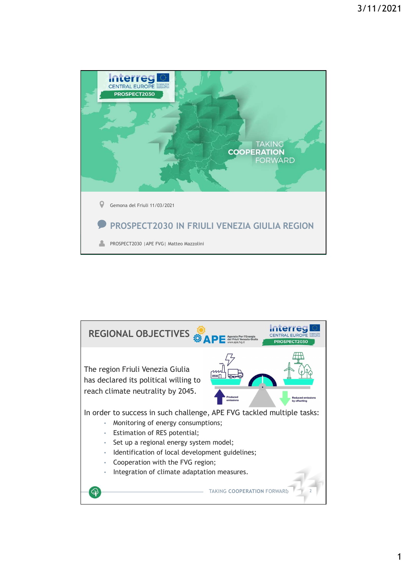

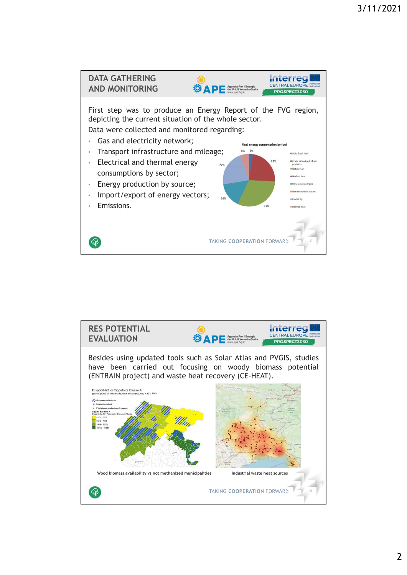

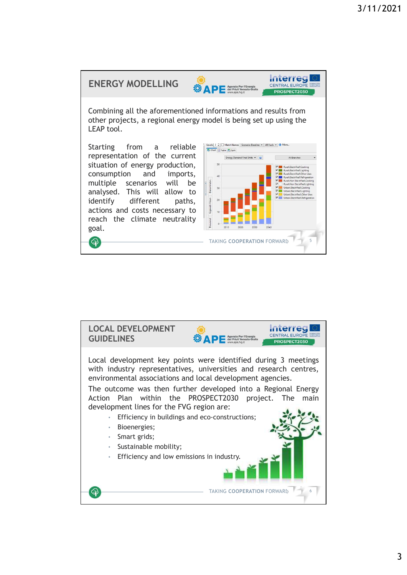

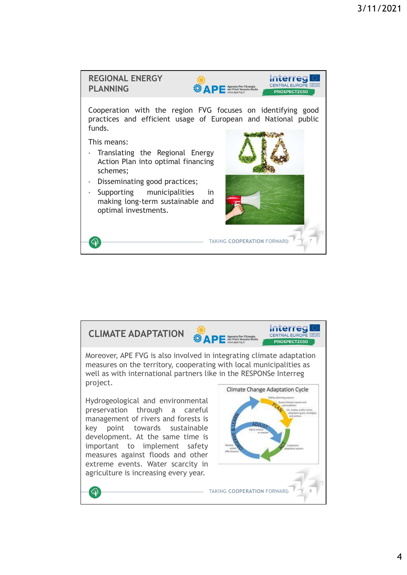